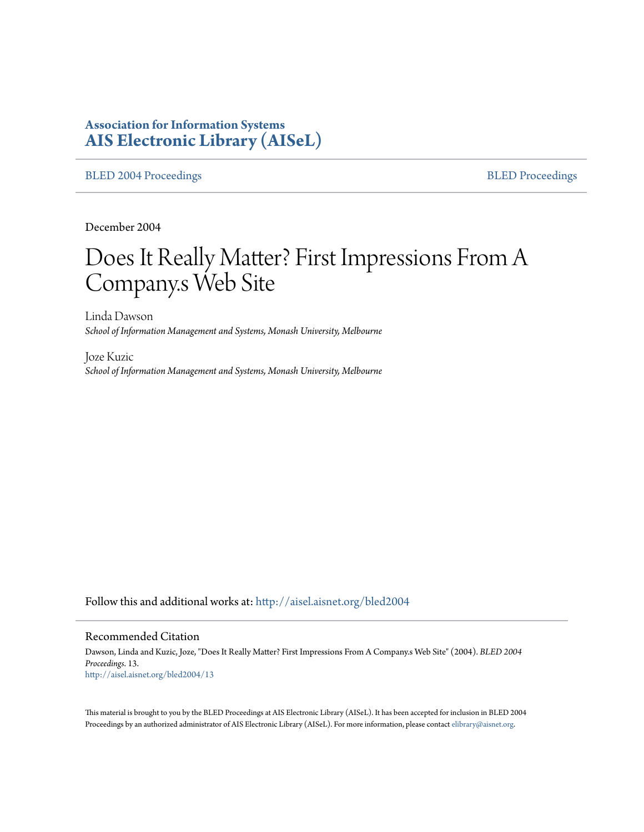# **Association for Information Systems [AIS Electronic Library \(AISeL\)](http://aisel.aisnet.org?utm_source=aisel.aisnet.org%2Fbled2004%2F13&utm_medium=PDF&utm_campaign=PDFCoverPages)**

[BLED 2004 Proceedings](http://aisel.aisnet.org/bled2004?utm_source=aisel.aisnet.org%2Fbled2004%2F13&utm_medium=PDF&utm_campaign=PDFCoverPages) **[BLED Proceedings](http://aisel.aisnet.org/bled?utm_source=aisel.aisnet.org%2Fbled2004%2F13&utm_medium=PDF&utm_campaign=PDFCoverPages)** 

December 2004

# Does It Really Matter? First Impressions From A Company.s Web Site

Linda Dawson *School of Information Management and Systems, Monash University, Melbourne*

Joze Kuzic *School of Information Management and Systems, Monash University, Melbourne*

Follow this and additional works at: [http://aisel.aisnet.org/bled2004](http://aisel.aisnet.org/bled2004?utm_source=aisel.aisnet.org%2Fbled2004%2F13&utm_medium=PDF&utm_campaign=PDFCoverPages)

#### Recommended Citation

Dawson, Linda and Kuzic, Joze, "Does It Really Matter? First Impressions From A Company.s Web Site" (2004). *BLED 2004 Proceedings*. 13. [http://aisel.aisnet.org/bled2004/13](http://aisel.aisnet.org/bled2004/13?utm_source=aisel.aisnet.org%2Fbled2004%2F13&utm_medium=PDF&utm_campaign=PDFCoverPages)

This material is brought to you by the BLED Proceedings at AIS Electronic Library (AISeL). It has been accepted for inclusion in BLED 2004 Proceedings by an authorized administrator of AIS Electronic Library (AISeL). For more information, please contact [elibrary@aisnet.org](mailto:elibrary@aisnet.org%3E).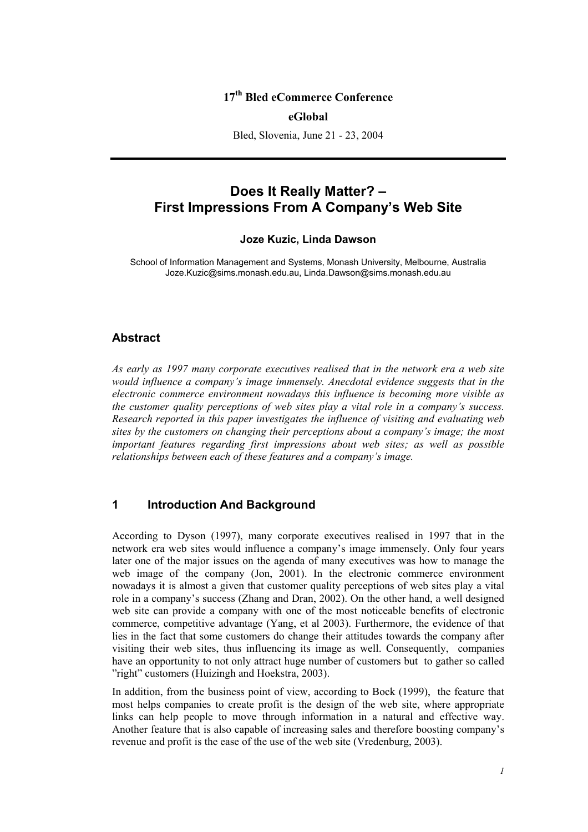## **17th Bled eCommerce Conference**

### **eGlobal**

Bled, Slovenia, June 21 - 23, 2004

# **Does It Really Matter? – First Impressions From A Company's Web Site**

### **Joze Kuzic, Linda Dawson**

School of Information Management and Systems, Monash University, Melbourne, Australia Joze.Kuzic@sims.monash.edu.au, Linda.Dawson@sims.monash.edu.au

#### **Abstract**

*As early as 1997 many corporate executives realised that in the network era a web site would influence a company's image immensely. Anecdotal evidence suggests that in the electronic commerce environment nowadays this influence is becoming more visible as the customer quality perceptions of web sites play a vital role in a company's success. Research reported in this paper investigates the influence of visiting and evaluating web sites by the customers on changing their perceptions about a company's image; the most important features regarding first impressions about web sites; as well as possible relationships between each of these features and a company's image.* 

## **1 Introduction And Background**

According to Dyson (1997), many corporate executives realised in 1997 that in the network era web sites would influence a company's image immensely. Only four years later one of the major issues on the agenda of many executives was how to manage the web image of the company (Jon, 2001). In the electronic commerce environment nowadays it is almost a given that customer quality perceptions of web sites play a vital role in a company's success (Zhang and Dran, 2002). On the other hand, a well designed web site can provide a company with one of the most noticeable benefits of electronic commerce, competitive advantage (Yang, et al 2003). Furthermore, the evidence of that lies in the fact that some customers do change their attitudes towards the company after visiting their web sites, thus influencing its image as well. Consequently, companies have an opportunity to not only attract huge number of customers but to gather so called "right" customers (Huizingh and Hoekstra, 2003).

In addition, from the business point of view, according to Bock (1999), the feature that most helps companies to create profit is the design of the web site, where appropriate links can help people to move through information in a natural and effective way. Another feature that is also capable of increasing sales and therefore boosting company's revenue and profit is the ease of the use of the web site (Vredenburg, 2003).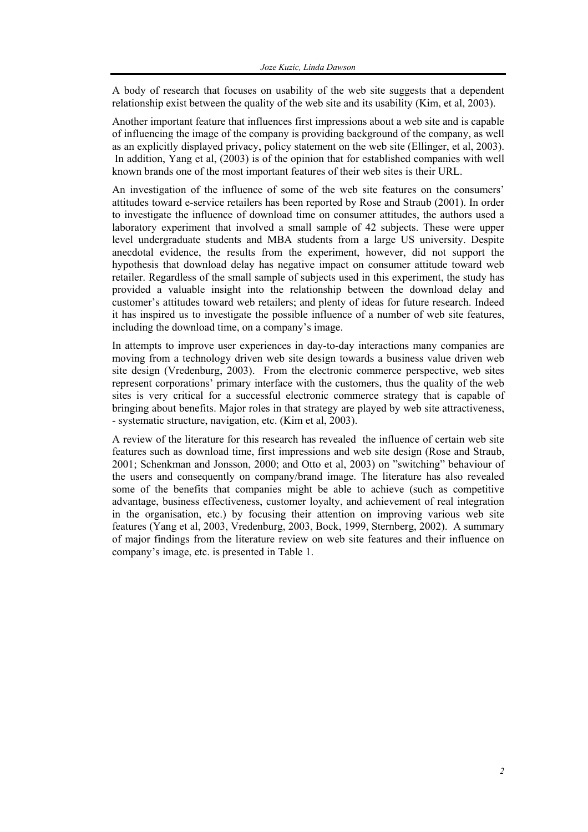A body of research that focuses on usability of the web site suggests that a dependent relationship exist between the quality of the web site and its usability (Kim, et al, 2003).

Another important feature that influences first impressions about a web site and is capable of influencing the image of the company is providing background of the company, as well as an explicitly displayed privacy, policy statement on the web site (Ellinger, et al, 2003). In addition, Yang et al, (2003) is of the opinion that for established companies with well known brands one of the most important features of their web sites is their URL.

An investigation of the influence of some of the web site features on the consumers' attitudes toward e-service retailers has been reported by Rose and Straub (2001). In order to investigate the influence of download time on consumer attitudes, the authors used a laboratory experiment that involved a small sample of 42 subjects. These were upper level undergraduate students and MBA students from a large US university. Despite anecdotal evidence, the results from the experiment, however, did not support the hypothesis that download delay has negative impact on consumer attitude toward web retailer. Regardless of the small sample of subjects used in this experiment, the study has provided a valuable insight into the relationship between the download delay and customer's attitudes toward web retailers; and plenty of ideas for future research. Indeed it has inspired us to investigate the possible influence of a number of web site features, including the download time, on a company's image.

In attempts to improve user experiences in day-to-day interactions many companies are moving from a technology driven web site design towards a business value driven web site design (Vredenburg, 2003). From the electronic commerce perspective, web sites represent corporations' primary interface with the customers, thus the quality of the web sites is very critical for a successful electronic commerce strategy that is capable of bringing about benefits. Major roles in that strategy are played by web site attractiveness, - systematic structure, navigation, etc. (Kim et al, 2003).

A review of the literature for this research has revealed the influence of certain web site features such as download time, first impressions and web site design (Rose and Straub, 2001; Schenkman and Jonsson, 2000; and Otto et al, 2003) on "switching" behaviour of the users and consequently on company/brand image. The literature has also revealed some of the benefits that companies might be able to achieve (such as competitive advantage, business effectiveness, customer loyalty, and achievement of real integration in the organisation, etc.) by focusing their attention on improving various web site features (Yang et al, 2003, Vredenburg, 2003, Bock, 1999, Sternberg, 2002). A summary of major findings from the literature review on web site features and their influence on company's image, etc. is presented in Table 1.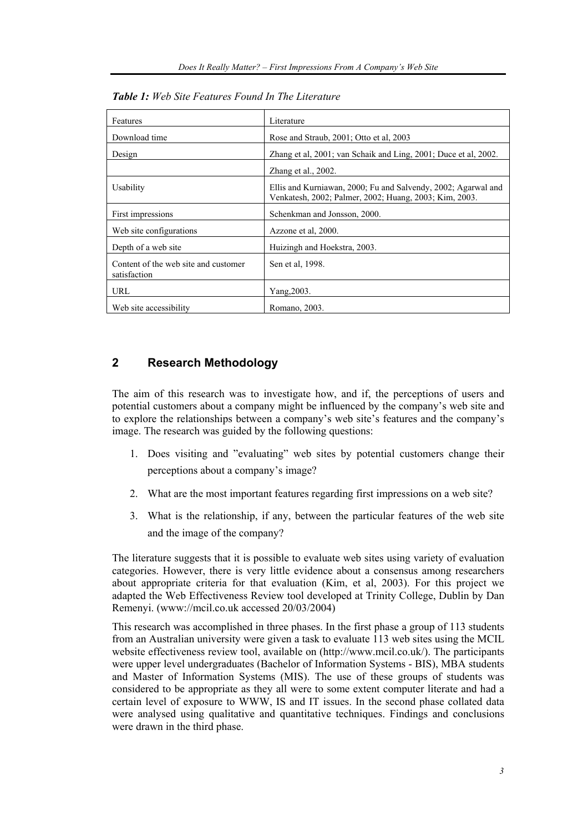| Features                                             | Literature                                                                                                              |
|------------------------------------------------------|-------------------------------------------------------------------------------------------------------------------------|
| Download time                                        | Rose and Straub, 2001; Otto et al, 2003                                                                                 |
| Design                                               | Zhang et al. 2001; van Schaik and Ling, 2001; Duce et al. 2002.                                                         |
|                                                      | Zhang et al., 2002.                                                                                                     |
| Usability                                            | Ellis and Kurniawan, 2000; Fu and Salvendy, 2002; Agarwal and<br>Venkatesh, 2002; Palmer, 2002; Huang, 2003; Kim, 2003. |
| First impressions                                    | Schenkman and Jonsson, 2000.                                                                                            |
| Web site configurations                              | Azzone et al, 2000.                                                                                                     |
| Depth of a web site                                  | Huizingh and Hoekstra, 2003.                                                                                            |
| Content of the web site and customer<br>satisfaction | Sen et al. 1998.                                                                                                        |
| URL                                                  | Yang, 2003.                                                                                                             |
| Web site accessibility                               | Romano, 2003.                                                                                                           |

*Table 1: Web Site Features Found In The Literature* 

# **2 Research Methodology**

The aim of this research was to investigate how, and if, the perceptions of users and potential customers about a company might be influenced by the company's web site and to explore the relationships between a company's web site's features and the company's image. The research was guided by the following questions:

- 1. Does visiting and "evaluating" web sites by potential customers change their perceptions about a company's image?
- 2. What are the most important features regarding first impressions on a web site?
- 3. What is the relationship, if any, between the particular features of the web site and the image of the company?

The literature suggests that it is possible to evaluate web sites using variety of evaluation categories. However, there is very little evidence about a consensus among researchers about appropriate criteria for that evaluation (Kim, et al, 2003). For this project we adapted the Web Effectiveness Review tool developed at Trinity College, Dublin by Dan Remenyi. (www://mcil.co.uk accessed 20/03/2004)

This research was accomplished in three phases. In the first phase a group of 113 students from an Australian university were given a task to evaluate 113 web sites using the MCIL website effectiveness review tool, available on (http://www.mcil.co.uk/). The participants were upper level undergraduates (Bachelor of Information Systems - BIS), MBA students and Master of Information Systems (MIS). The use of these groups of students was considered to be appropriate as they all were to some extent computer literate and had a certain level of exposure to WWW, IS and IT issues. In the second phase collated data were analysed using qualitative and quantitative techniques. Findings and conclusions were drawn in the third phase.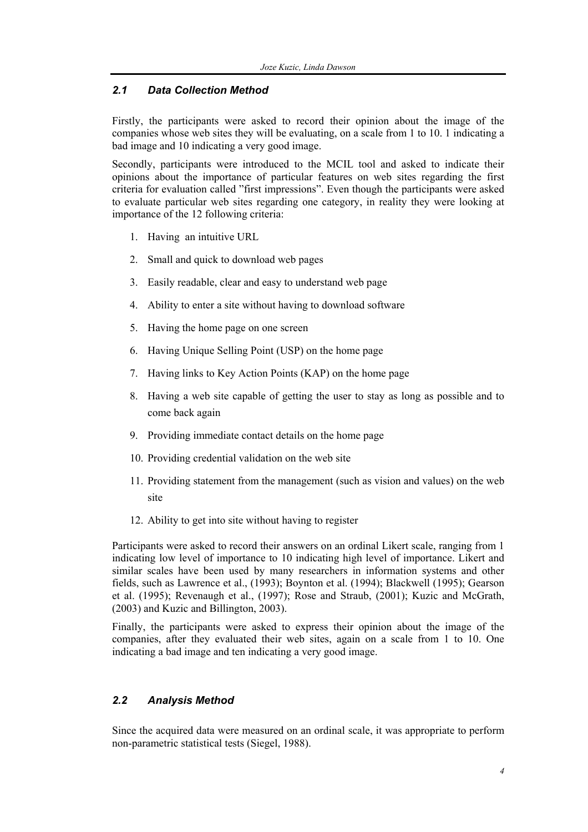## *2.1 Data Collection Method*

Firstly, the participants were asked to record their opinion about the image of the companies whose web sites they will be evaluating, on a scale from 1 to 10. 1 indicating a bad image and 10 indicating a very good image.

Secondly, participants were introduced to the MCIL tool and asked to indicate their opinions about the importance of particular features on web sites regarding the first criteria for evaluation called "first impressions". Even though the participants were asked to evaluate particular web sites regarding one category, in reality they were looking at importance of the 12 following criteria:

- 1. Having an intuitive URL
- 2. Small and quick to download web pages
- 3. Easily readable, clear and easy to understand web page
- 4. Ability to enter a site without having to download software
- 5. Having the home page on one screen
- 6. Having Unique Selling Point (USP) on the home page
- 7. Having links to Key Action Points (KAP) on the home page
- 8. Having a web site capable of getting the user to stay as long as possible and to come back again
- 9. Providing immediate contact details on the home page
- 10. Providing credential validation on the web site
- 11. Providing statement from the management (such as vision and values) on the web site
- 12. Ability to get into site without having to register

Participants were asked to record their answers on an ordinal Likert scale, ranging from 1 indicating low level of importance to 10 indicating high level of importance. Likert and similar scales have been used by many researchers in information systems and other fields, such as Lawrence et al., (1993); Boynton et al. (1994); Blackwell (1995); Gearson et al. (1995); Revenaugh et al., (1997); Rose and Straub, (2001); Kuzic and McGrath, (2003) and Kuzic and Billington, 2003).

Finally, the participants were asked to express their opinion about the image of the companies, after they evaluated their web sites, again on a scale from 1 to 10. One indicating a bad image and ten indicating a very good image.

## *2.2 Analysis Method*

Since the acquired data were measured on an ordinal scale, it was appropriate to perform non-parametric statistical tests (Siegel, 1988).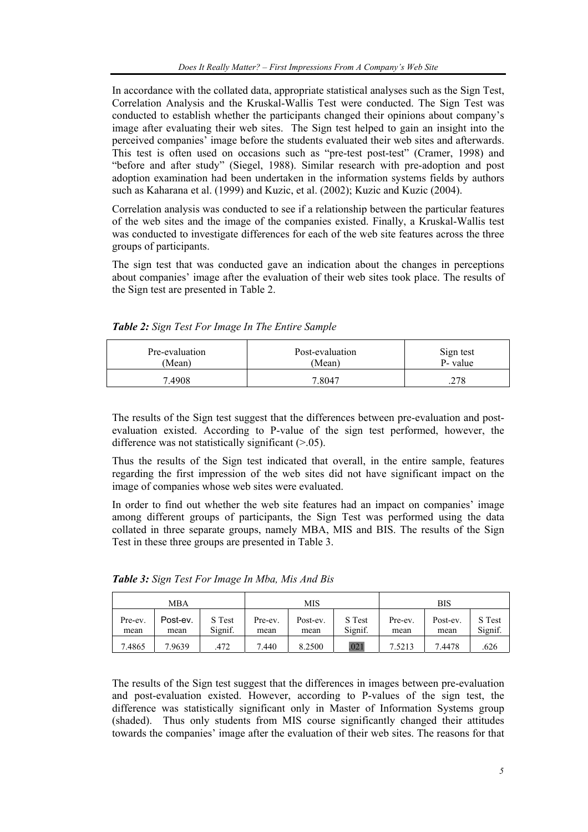In accordance with the collated data, appropriate statistical analyses such as the Sign Test, Correlation Analysis and the Kruskal-Wallis Test were conducted. The Sign Test was conducted to establish whether the participants changed their opinions about company's image after evaluating their web sites. The Sign test helped to gain an insight into the perceived companies' image before the students evaluated their web sites and afterwards. This test is often used on occasions such as "pre-test post-test" (Cramer, 1998) and "before and after study" (Siegel, 1988). Similar research with pre-adoption and post adoption examination had been undertaken in the information systems fields by authors such as Kaharana et al. (1999) and Kuzic, et al. (2002); Kuzic and Kuzic (2004).

Correlation analysis was conducted to see if a relationship between the particular features of the web sites and the image of the companies existed. Finally, a Kruskal-Wallis test was conducted to investigate differences for each of the web site features across the three groups of participants.

The sign test that was conducted gave an indication about the changes in perceptions about companies' image after the evaluation of their web sites took place. The results of the Sign test are presented in Table 2.

| Pre-evaluation | Post-evaluation | Sign test   |
|----------------|-----------------|-------------|
| (Mean)         | (Mean)          | P- value    |
| 7.4908         | 7.8047          | 770<br>.470 |

*Table 2: Sign Test For Image In The Entire Sample* 

The results of the Sign test suggest that the differences between pre-evaluation and postevaluation existed. According to P-value of the sign test performed, however, the difference was not statistically significant  $(>0.05)$ .

Thus the results of the Sign test indicated that overall, in the entire sample, features regarding the first impression of the web sites did not have significant impact on the image of companies whose web sites were evaluated.

In order to find out whether the web site features had an impact on companies' image among different groups of participants, the Sign Test was performed using the data collated in three separate groups, namely MBA, MIS and BIS. The results of the Sign Test in these three groups are presented in Table 3.

|                 | MBA              |                   |                 | MIS              |                   |                 | <b>BIS</b>       |                   |
|-----------------|------------------|-------------------|-----------------|------------------|-------------------|-----------------|------------------|-------------------|
| Pre-ev.<br>mean | Post-ev.<br>mean | S Test<br>Signif. | Pre-ev.<br>mean | Post-ev.<br>mean | S Test<br>Signif. | Pre-ev.<br>mean | Post-ev.<br>mean | S Test<br>Signif. |
| 7.4865          | 7.9639           | 472               | 7.440           | 8.2500           | .021              | 7.5213          | 7.4478           | .626              |

*Table 3: Sign Test For Image In Mba, Mis And Bis*

The results of the Sign test suggest that the differences in images between pre-evaluation and post-evaluation existed. However, according to P-values of the sign test, the difference was statistically significant only in Master of Information Systems group (shaded). Thus only students from MIS course significantly changed their attitudes towards the companies' image after the evaluation of their web sites. The reasons for that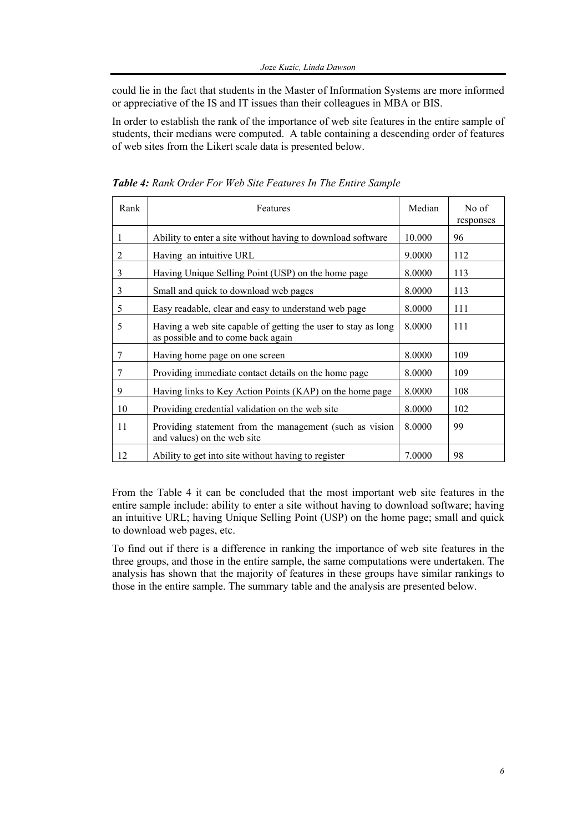could lie in the fact that students in the Master of Information Systems are more informed or appreciative of the IS and IT issues than their colleagues in MBA or BIS.

In order to establish the rank of the importance of web site features in the entire sample of students, their medians were computed. A table containing a descending order of features of web sites from the Likert scale data is presented below.

| Rank | Features                                                                                            | Median | No of<br>responses |
|------|-----------------------------------------------------------------------------------------------------|--------|--------------------|
| 1    | Ability to enter a site without having to download software                                         | 10.000 | 96                 |
| 2    | Having an intuitive URL                                                                             | 9.0000 | 112                |
| 3    | Having Unique Selling Point (USP) on the home page                                                  | 8.0000 | 113                |
| 3    | Small and quick to download web pages                                                               | 8.0000 | 113                |
| 5    | Easy readable, clear and easy to understand web page                                                | 8.0000 | 111                |
| 5    | Having a web site capable of getting the user to stay as long<br>as possible and to come back again | 8.0000 | 111                |
| 7    | Having home page on one screen                                                                      | 8.0000 | 109                |
| 7    | Providing immediate contact details on the home page                                                | 8.0000 | 109                |
| 9    | Having links to Key Action Points (KAP) on the home page                                            | 8.0000 | 108                |
| 10   | Providing credential validation on the web site                                                     | 8.0000 | 102                |
| 11   | Providing statement from the management (such as vision<br>and values) on the web site              | 8.0000 | 99                 |
| 12   | Ability to get into site without having to register                                                 | 7.0000 | 98                 |

*Table 4: Rank Order For Web Site Features In The Entire Sample* 

From the Table 4 it can be concluded that the most important web site features in the entire sample include: ability to enter a site without having to download software; having an intuitive URL; having Unique Selling Point (USP) on the home page; small and quick to download web pages, etc.

To find out if there is a difference in ranking the importance of web site features in the three groups, and those in the entire sample, the same computations were undertaken. The analysis has shown that the majority of features in these groups have similar rankings to those in the entire sample. The summary table and the analysis are presented below.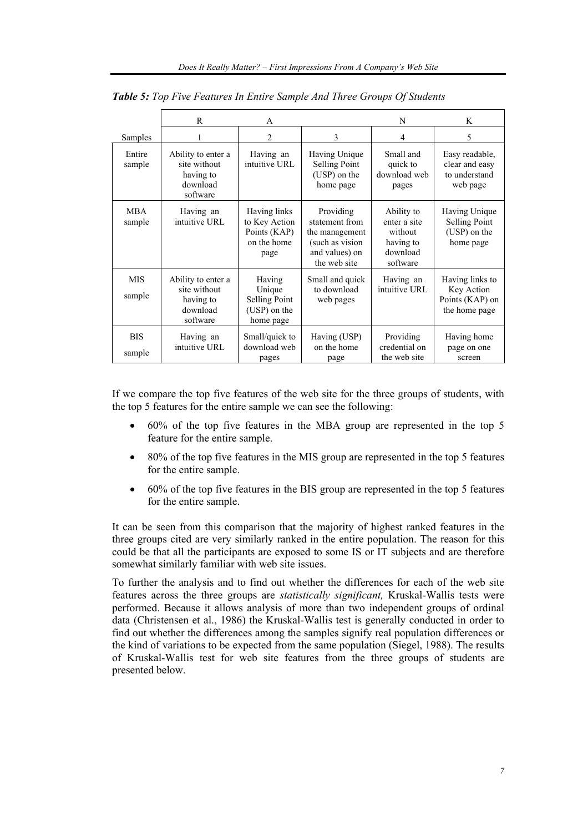|                      | $\mathsf{R}$                                                            | A                                                                    |                                                                                                    | N                                                                          | K                                                                 |
|----------------------|-------------------------------------------------------------------------|----------------------------------------------------------------------|----------------------------------------------------------------------------------------------------|----------------------------------------------------------------------------|-------------------------------------------------------------------|
| Samples              | 1                                                                       | 2                                                                    | 3                                                                                                  | 4                                                                          | 5                                                                 |
| Entire<br>sample     | Ability to enter a<br>site without<br>having to<br>download<br>software | Having an<br>intuitive URL                                           | Having Unique<br><b>Selling Point</b><br>(USP) on the<br>home page                                 | Small and<br>quick to<br>download web<br>pages                             | Easy readable,<br>clear and easy<br>to understand<br>web page     |
| <b>MBA</b><br>sample | Having an<br>intuitive URL                                              | Having links<br>to Key Action<br>Points (KAP)<br>on the home<br>page | Providing<br>statement from<br>the management<br>(such as vision<br>and values) on<br>the web site | Ability to<br>enter a site<br>without<br>having to<br>download<br>software | Having Unique<br>Selling Point<br>(USP) on the<br>home page       |
| <b>MIS</b><br>sample | Ability to enter a<br>site without<br>having to<br>download<br>software | Having<br>Unique<br>Selling Point<br>(USP) on the<br>home page       | Small and quick<br>to download<br>web pages                                                        | Having an<br>intuitive URL                                                 | Having links to<br>Key Action<br>Points (KAP) on<br>the home page |
| <b>BIS</b><br>sample | Having an<br>intuitive URL                                              | Small/quick to<br>download web<br>pages                              | Having (USP)<br>on the home<br>page                                                                | Providing<br>credential on<br>the web site                                 | Having home<br>page on one<br>screen                              |

*Table 5: Top Five Features In Entire Sample And Three Groups Of Students* 

If we compare the top five features of the web site for the three groups of students, with the top 5 features for the entire sample we can see the following:

- 60% of the top five features in the MBA group are represented in the top 5 feature for the entire sample.
- 80% of the top five features in the MIS group are represented in the top 5 features for the entire sample.
- 60% of the top five features in the BIS group are represented in the top 5 features for the entire sample.

It can be seen from this comparison that the majority of highest ranked features in the three groups cited are very similarly ranked in the entire population. The reason for this could be that all the participants are exposed to some IS or IT subjects and are therefore somewhat similarly familiar with web site issues.

To further the analysis and to find out whether the differences for each of the web site features across the three groups are *statistically significant,* Kruskal-Wallis tests were performed. Because it allows analysis of more than two independent groups of ordinal data (Christensen et al., 1986) the Kruskal-Wallis test is generally conducted in order to find out whether the differences among the samples signify real population differences or the kind of variations to be expected from the same population (Siegel, 1988). The results of Kruskal-Wallis test for web site features from the three groups of students are presented below.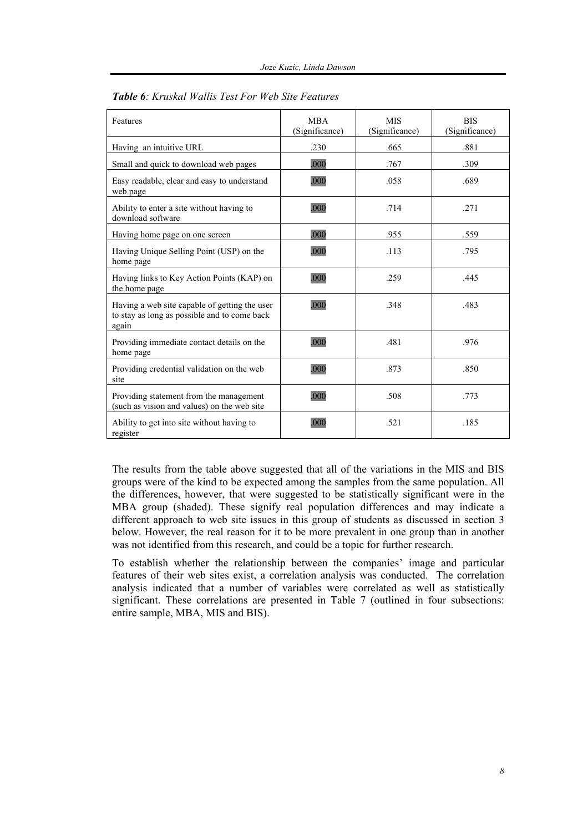| Features                                                                                               | <b>MBA</b><br>(Significance) | <b>MIS</b><br>(Significance) | <b>BIS</b><br>(Significance) |
|--------------------------------------------------------------------------------------------------------|------------------------------|------------------------------|------------------------------|
| Having an intuitive URL                                                                                | .230                         | .665                         | .881                         |
| Small and quick to download web pages                                                                  | .000                         | .767                         | .309                         |
| Easy readable, clear and easy to understand<br>web page                                                | .000                         | .058                         | .689                         |
| Ability to enter a site without having to<br>download software                                         | .000                         | .714                         | .271                         |
| Having home page on one screen                                                                         | .000                         | .955                         | .559                         |
| Having Unique Selling Point (USP) on the<br>home page                                                  | .000                         | .113                         | .795                         |
| Having links to Key Action Points (KAP) on<br>the home page                                            | .000                         | .259                         | .445                         |
| Having a web site capable of getting the user<br>to stay as long as possible and to come back<br>again | .000                         | .348                         | .483                         |
| Providing immediate contact details on the<br>home page                                                | .000                         | .481                         | .976                         |
| Providing credential validation on the web<br>site                                                     | .000                         | .873                         | .850                         |
| Providing statement from the management<br>(such as vision and values) on the web site                 | .000                         | .508                         | .773                         |
| Ability to get into site without having to<br>register                                                 | .000                         | .521                         | .185                         |

| <b>Table 6:</b> Kruskal Wallis Test For Web Site Features |
|-----------------------------------------------------------|
|-----------------------------------------------------------|

The results from the table above suggested that all of the variations in the MIS and BIS groups were of the kind to be expected among the samples from the same population. All the differences, however, that were suggested to be statistically significant were in the MBA group (shaded). These signify real population differences and may indicate a different approach to web site issues in this group of students as discussed in section 3 below. However, the real reason for it to be more prevalent in one group than in another was not identified from this research, and could be a topic for further research.

To establish whether the relationship between the companies' image and particular features of their web sites exist, a correlation analysis was conducted. The correlation analysis indicated that a number of variables were correlated as well as statistically significant. These correlations are presented in Table 7 (outlined in four subsections: entire sample, MBA, MIS and BIS).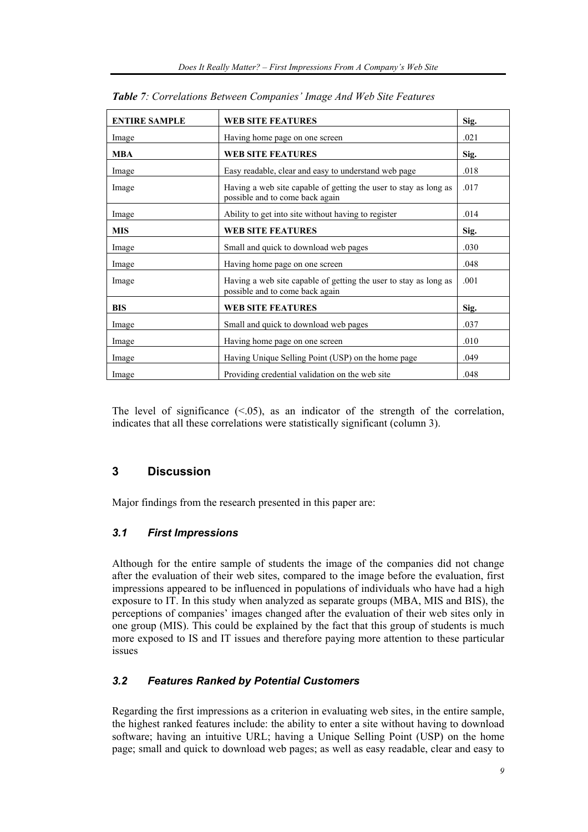| <b>ENTIRE SAMPLE</b> | <b>WEB SITE FEATURES</b>                                                                            | Sig. |
|----------------------|-----------------------------------------------------------------------------------------------------|------|
| Image                | Having home page on one screen                                                                      | .021 |
| <b>MBA</b>           | <b>WEB SITE FEATURES</b>                                                                            | Sig. |
| Image                | Easy readable, clear and easy to understand web page                                                | .018 |
| Image                | Having a web site capable of getting the user to stay as long as<br>possible and to come back again | .017 |
| Image                | Ability to get into site without having to register                                                 | .014 |
| <b>MIS</b>           | <b>WEB SITE FEATURES</b>                                                                            | Sig. |
| Image                | Small and quick to download web pages                                                               | .030 |
| Image                | Having home page on one screen                                                                      | .048 |
| Image                | Having a web site capable of getting the user to stay as long as<br>possible and to come back again | .001 |
| <b>BIS</b>           | <b>WEB SITE FEATURES</b>                                                                            | Sig. |
| Image                | Small and quick to download web pages                                                               | .037 |
| Image                | Having home page on one screen                                                                      | .010 |
| Image                | Having Unique Selling Point (USP) on the home page                                                  | .049 |
| Image                | Providing credential validation on the web site                                                     | .048 |

*Table 7: Correlations Between Companies' Image And Web Site Features* 

The level of significance  $( $0.05$ ), as an indicator of the strength of the correlation,$ indicates that all these correlations were statistically significant (column 3).

# **3 Discussion**

Major findings from the research presented in this paper are:

# *3.1 First Impressions*

Although for the entire sample of students the image of the companies did not change after the evaluation of their web sites, compared to the image before the evaluation, first impressions appeared to be influenced in populations of individuals who have had a high exposure to IT. In this study when analyzed as separate groups (MBA, MIS and BIS), the perceptions of companies' images changed after the evaluation of their web sites only in one group (MIS). This could be explained by the fact that this group of students is much more exposed to IS and IT issues and therefore paying more attention to these particular issues

# *3.2 Features Ranked by Potential Customers*

Regarding the first impressions as a criterion in evaluating web sites, in the entire sample, the highest ranked features include: the ability to enter a site without having to download software; having an intuitive URL; having a Unique Selling Point (USP) on the home page; small and quick to download web pages; as well as easy readable, clear and easy to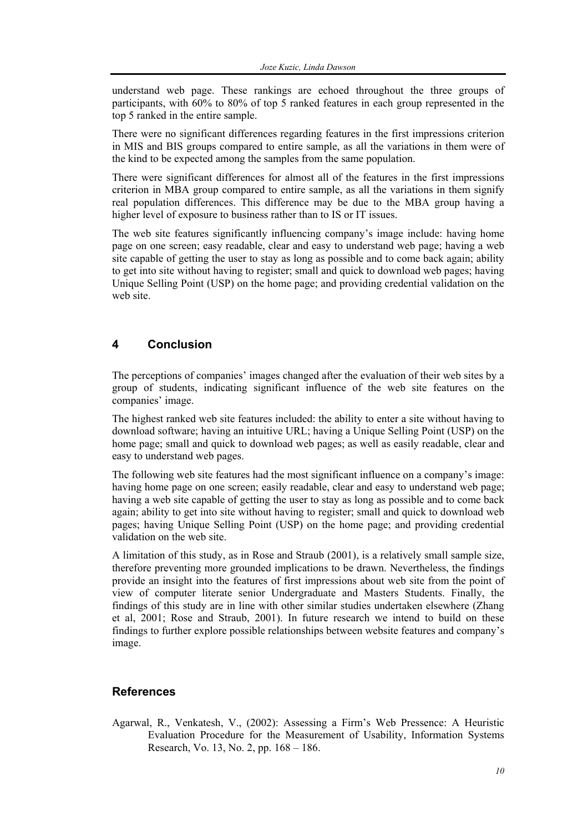understand web page. These rankings are echoed throughout the three groups of participants, with 60% to 80% of top 5 ranked features in each group represented in the top 5 ranked in the entire sample.

There were no significant differences regarding features in the first impressions criterion in MIS and BIS groups compared to entire sample, as all the variations in them were of the kind to be expected among the samples from the same population.

There were significant differences for almost all of the features in the first impressions criterion in MBA group compared to entire sample, as all the variations in them signify real population differences. This difference may be due to the MBA group having a higher level of exposure to business rather than to IS or IT issues.

The web site features significantly influencing company's image include: having home page on one screen; easy readable, clear and easy to understand web page; having a web site capable of getting the user to stay as long as possible and to come back again; ability to get into site without having to register; small and quick to download web pages; having Unique Selling Point (USP) on the home page; and providing credential validation on the web site.

# **4 Conclusion**

The perceptions of companies' images changed after the evaluation of their web sites by a group of students, indicating significant influence of the web site features on the companies' image.

The highest ranked web site features included: the ability to enter a site without having to download software; having an intuitive URL; having a Unique Selling Point (USP) on the home page; small and quick to download web pages; as well as easily readable, clear and easy to understand web pages.

The following web site features had the most significant influence on a company's image: having home page on one screen; easily readable, clear and easy to understand web page; having a web site capable of getting the user to stay as long as possible and to come back again; ability to get into site without having to register; small and quick to download web pages; having Unique Selling Point (USP) on the home page; and providing credential validation on the web site.

A limitation of this study, as in Rose and Straub (2001), is a relatively small sample size, therefore preventing more grounded implications to be drawn. Nevertheless, the findings provide an insight into the features of first impressions about web site from the point of view of computer literate senior Undergraduate and Masters Students. Finally, the findings of this study are in line with other similar studies undertaken elsewhere (Zhang et al, 2001; Rose and Straub, 2001). In future research we intend to build on these findings to further explore possible relationships between website features and company's image.

# **References**

Agarwal, R., Venkatesh, V., (2002): Assessing a Firm's Web Pressence: A Heuristic Evaluation Procedure for the Measurement of Usability, Information Systems Research, Vo. 13, No. 2, pp. 168 – 186.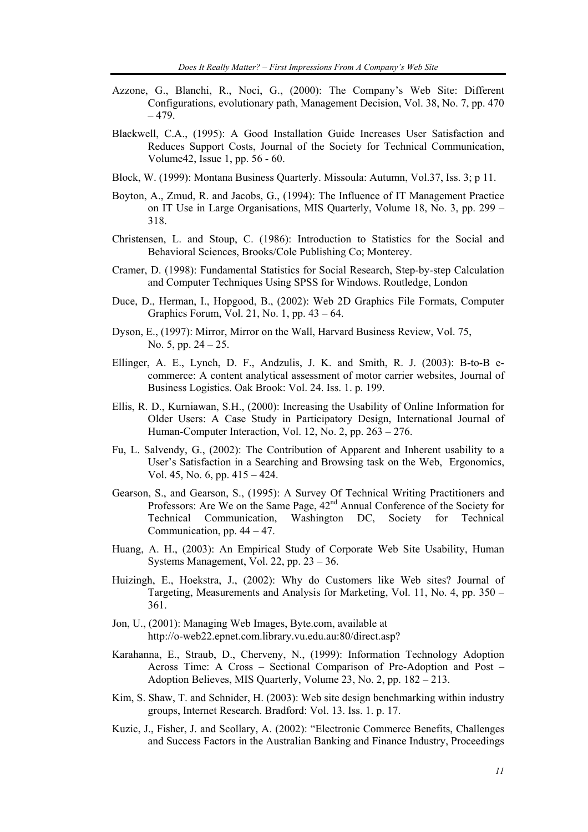- Azzone, G., Blanchi, R., Noci, G., (2000): The Company's Web Site: Different Configurations, evolutionary path, Management Decision, Vol. 38, No. 7, pp. 470  $-479.$
- Blackwell, C.A., (1995): A Good Installation Guide Increases User Satisfaction and Reduces Support Costs, Journal of the Society for Technical Communication, Volume42, Issue 1, pp. 56 - 60.
- Block, W. (1999): Montana Business Quarterly. Missoula: Autumn, Vol.37, Iss. 3; p 11.
- Boyton, A., Zmud, R. and Jacobs, G., (1994): The Influence of IT Management Practice on IT Use in Large Organisations, MIS Quarterly, Volume 18, No. 3, pp. 299 – 318.
- Christensen, L. and Stoup, C. (1986): Introduction to Statistics for the Social and Behavioral Sciences, Brooks/Cole Publishing Co; Monterey.
- Cramer, D. (1998): Fundamental Statistics for Social Research, Step-by-step Calculation and Computer Techniques Using SPSS for Windows. Routledge, London
- Duce, D., Herman, I., Hopgood, B., (2002): Web 2D Graphics File Formats, Computer Graphics Forum, Vol. 21, No. 1, pp. 43 – 64.
- Dyson, E., (1997): Mirror, Mirror on the Wall, Harvard Business Review, Vol. 75, No. 5, pp. 24 – 25.
- Ellinger, A. E., Lynch, D. F., Andzulis, J. K. and Smith, R. J. (2003): B-to-B ecommerce: A content analytical assessment of motor carrier websites, Journal of Business Logistics. Oak Brook: Vol. 24. Iss. 1. p. 199.
- Ellis, R. D., Kurniawan, S.H., (2000): Increasing the Usability of Online Information for Older Users: A Case Study in Participatory Design, International Journal of Human-Computer Interaction, Vol. 12, No. 2, pp. 263 – 276.
- Fu, L. Salvendy, G., (2002): The Contribution of Apparent and Inherent usability to a User's Satisfaction in a Searching and Browsing task on the Web, Ergonomics, Vol. 45, No. 6, pp. 415 – 424.
- Gearson, S., and Gearson, S., (1995): A Survey Of Technical Writing Practitioners and Professors: Are We on the Same Page,  $42<sup>nd</sup>$  Annual Conference of the Society for Technical Communication, Washington DC, Society for Technical Communication, pp.  $44 - 47$ .
- Huang, A. H., (2003): An Empirical Study of Corporate Web Site Usability, Human Systems Management, Vol. 22, pp. 23 – 36.
- Huizingh, E., Hoekstra, J., (2002): Why do Customers like Web sites? Journal of Targeting, Measurements and Analysis for Marketing, Vol. 11, No. 4, pp. 350 – 361.
- Jon, U., (2001): Managing Web Images, Byte.com, available at http://o-web22.epnet.com.library.vu.edu.au:80/direct.asp?
- Karahanna, E., Straub, D., Cherveny, N., (1999): Information Technology Adoption Across Time: A Cross – Sectional Comparison of Pre-Adoption and Post – Adoption Believes, MIS Quarterly, Volume 23, No. 2, pp. 182 – 213.
- Kim, S. Shaw, T. and Schnider, H. (2003): Web site design benchmarking within industry groups, Internet Research. Bradford: Vol. 13. Iss. 1. p. 17.
- Kuzic, J., Fisher, J. and Scollary, A. (2002): "Electronic Commerce Benefits, Challenges and Success Factors in the Australian Banking and Finance Industry, Proceedings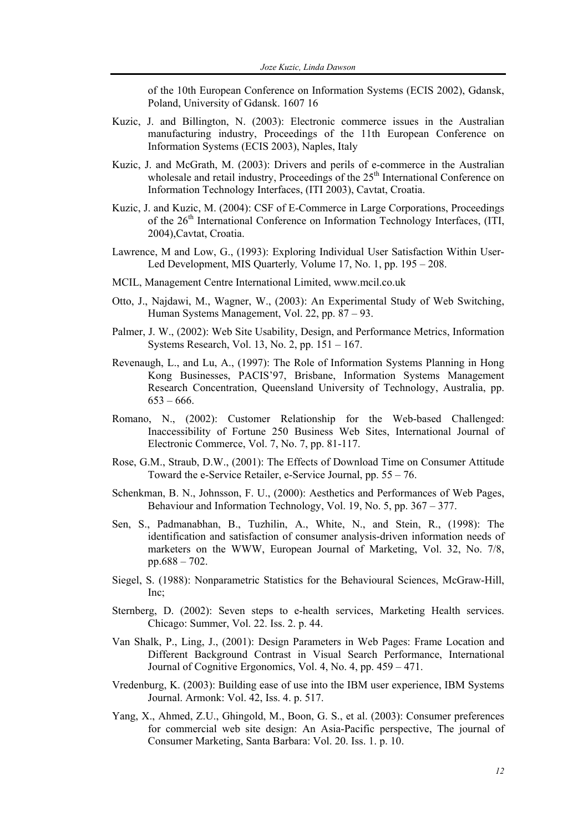of the 10th European Conference on Information Systems (ECIS 2002), Gdansk, Poland, University of Gdansk. 1607 16

- Kuzic, J. and Billington, N. (2003): Electronic commerce issues in the Australian manufacturing industry, Proceedings of the 11th European Conference on Information Systems (ECIS 2003), Naples, Italy
- Kuzic, J. and McGrath, M. (2003): Drivers and perils of e-commerce in the Australian wholesale and retail industry, Proceedings of the 25<sup>th</sup> International Conference on Information Technology Interfaces, (ITI 2003), Cavtat, Croatia.
- Kuzic, J. and Kuzic, M. (2004): CSF of E-Commerce in Large Corporations, Proceedings of the 26<sup>th</sup> International Conference on Information Technology Interfaces, (ITI, 2004),Cavtat, Croatia.
- Lawrence, M and Low, G., (1993): Exploring Individual User Satisfaction Within User-Led Development, MIS Quarterly*,* Volume 17, No. 1, pp. 195 – 208.
- MCIL, Management Centre International Limited, www.mcil.co.uk
- Otto, J., Najdawi, M., Wagner, W., (2003): An Experimental Study of Web Switching, Human Systems Management, Vol. 22, pp. 87 – 93.
- Palmer, J. W., (2002): Web Site Usability, Design, and Performance Metrics, Information Systems Research, Vol. 13, No. 2, pp. 151 – 167.
- Revenaugh, L., and Lu, A., (1997): The Role of Information Systems Planning in Hong Kong Businesses, PACIS'97, Brisbane, Information Systems Management Research Concentration, Queensland University of Technology, Australia, pp.  $653 - 666$ .
- Romano, N., (2002): Customer Relationship for the Web-based Challenged: Inaccessibility of Fortune 250 Business Web Sites, International Journal of Electronic Commerce, Vol. 7, No. 7, pp. 81-117.
- Rose, G.M., Straub, D.W., (2001): The Effects of Download Time on Consumer Attitude Toward the e-Service Retailer, e-Service Journal, pp. 55 – 76.
- Schenkman, B. N., Johnsson, F. U., (2000): Aesthetics and Performances of Web Pages, Behaviour and Information Technology, Vol. 19, No. 5, pp. 367 – 377.
- Sen, S., Padmanabhan, B., Tuzhilin, A., White, N., and Stein, R., (1998): The identification and satisfaction of consumer analysis-driven information needs of marketers on the WWW, European Journal of Marketing, Vol. 32, No. 7/8, pp.688 – 702.
- Siegel, S. (1988): Nonparametric Statistics for the Behavioural Sciences, McGraw-Hill, Inc;
- Sternberg, D. (2002): Seven steps to e-health services, Marketing Health services. Chicago: Summer, Vol. 22. Iss. 2. p. 44.
- Van Shalk, P., Ling, J., (2001): Design Parameters in Web Pages: Frame Location and Different Background Contrast in Visual Search Performance, International Journal of Cognitive Ergonomics, Vol. 4, No. 4, pp. 459 – 471.
- Vredenburg, K. (2003): Building ease of use into the IBM user experience, IBM Systems Journal. Armonk: Vol. 42, Iss. 4. p. 517.
- Yang, X., Ahmed, Z.U., Ghingold, M., Boon, G. S., et al. (2003): Consumer preferences for commercial web site design: An Asia-Pacific perspective, The journal of Consumer Marketing, Santa Barbara: Vol. 20. Iss. 1. p. 10.